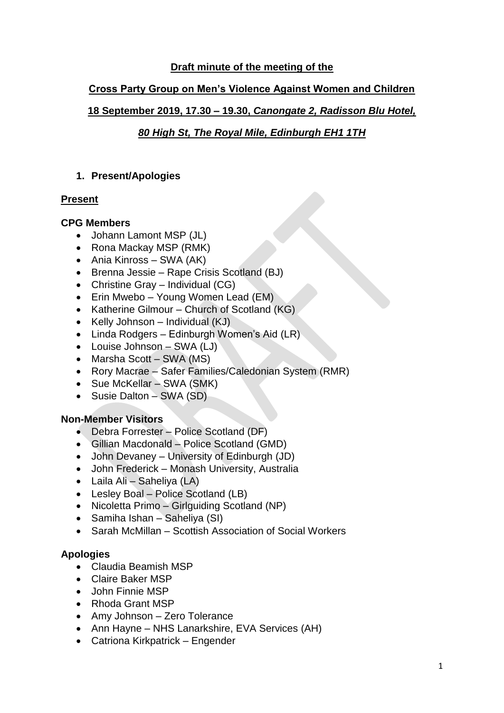# **Draft minute of the meeting of the**

## **Cross Party Group on Men's Violence Against Women and Children**

# **18 September 2019, 17.30 – 19.30,** *Canongate 2, Radisson Blu Hotel,*

# *80 High St, The Royal Mile, Edinburgh EH1 1TH*

### **1. Present/Apologies**

### **Present**

#### **CPG Members**

- Johann Lamont MSP (JL)
- Rona Mackay MSP (RMK)
- Ania Kinross SWA (AK)
- Brenna Jessie Rape Crisis Scotland (BJ)
- Christine Gray Individual (CG)
- Erin Mwebo Young Women Lead (EM)
- Katherine Gilmour Church of Scotland (KG)
- Kelly Johnson Individual (KJ)
- Linda Rodgers Edinburgh Women's Aid (LR)
- Louise Johnson SWA (LJ)
- Marsha Scott SWA (MS)
- Rory Macrae Safer Families/Caledonian System (RMR)
- Sue McKellar SWA (SMK)
- Susie Dalton SWA (SD)

### **Non-Member Visitors**

- Debra Forrester Police Scotland (DF)
- Gillian Macdonald Police Scotland (GMD)
- John Devaney University of Edinburgh (JD)
- John Frederick Monash University, Australia
- Laila Ali Saheliya (LA)
- Lesley Boal Police Scotland (LB)
- Nicoletta Primo Girlguiding Scotland (NP)
- Samiha Ishan Saheliya (SI)
- Sarah McMillan Scottish Association of Social Workers

### **Apologies**

- Claudia Beamish MSP
- Claire Baker MSP
- John Finnie MSP
- Rhoda Grant MSP
- Amy Johnson Zero Tolerance
- Ann Hayne NHS Lanarkshire, EVA Services (AH)
- Catriona Kirkpatrick Engender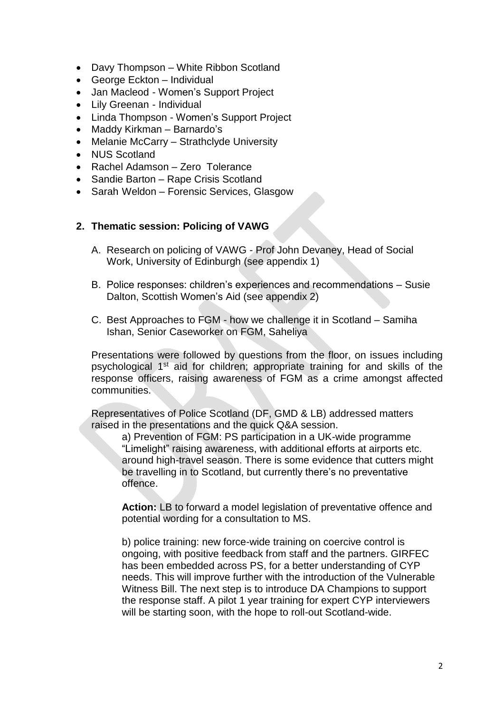- Davy Thompson White Ribbon Scotland
- George Eckton Individual
- Jan Macleod Women's Support Project
- Lily Greenan Individual
- Linda Thompson Women's Support Project
- Maddy Kirkman Barnardo's
- Melanie McCarry Strathclyde University
- NUS Scotland
- Rachel Adamson Zero Tolerance
- Sandie Barton Rape Crisis Scotland
- Sarah Weldon Forensic Services, Glasgow

#### **2. Thematic session: Policing of VAWG**

- A. Research on policing of VAWG Prof John Devaney, Head of Social Work, University of Edinburgh (see appendix 1)
- B. Police responses: children's experiences and recommendations Susie Dalton, Scottish Women's Aid (see appendix 2)
- C. Best Approaches to FGM how we challenge it in Scotland Samiha Ishan, Senior Caseworker on FGM, Saheliya

Presentations were followed by questions from the floor, on issues including psychological 1st aid for children; appropriate training for and skills of the response officers, raising awareness of FGM as a crime amongst affected communities.

Representatives of Police Scotland (DF, GMD & LB) addressed matters raised in the presentations and the quick Q&A session.

a) Prevention of FGM: PS participation in a UK-wide programme "Limelight" raising awareness, with additional efforts at airports etc. around high-travel season. There is some evidence that cutters might be travelling in to Scotland, but currently there's no preventative offence.

**Action:** LB to forward a model legislation of preventative offence and potential wording for a consultation to MS.

b) police training: new force-wide training on coercive control is ongoing, with positive feedback from staff and the partners. GIRFEC has been embedded across PS, for a better understanding of CYP needs. This will improve further with the introduction of the Vulnerable Witness Bill. The next step is to introduce DA Champions to support the response staff. A pilot 1 year training for expert CYP interviewers will be starting soon, with the hope to roll-out Scotland-wide.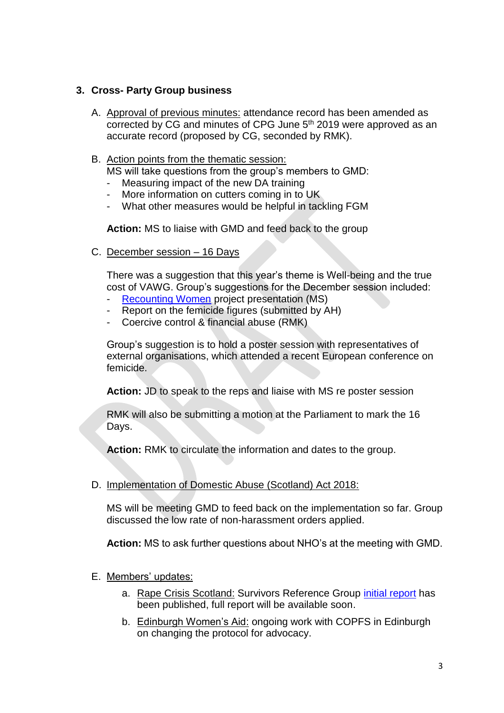## **3. Cross- Party Group business**

- A. Approval of previous minutes: attendance record has been amended as corrected by CG and minutes of CPG June 5<sup>th</sup> 2019 were approved as an accurate record (proposed by CG, seconded by RMK).
- B. Action points from the thematic session:

MS will take questions from the group's members to GMD:

- Measuring impact of the new DA training
- More information on cutters coming in to UK
- What other measures would be helpful in tackling FGM

**Action:** MS to liaise with GMD and feed back to the group

C. December session – 16 Days

There was a suggestion that this year's theme is Well-being and the true cost of VAWG. Group's suggestions for the December session included:

- [Recounting Women](https://www.recountingwomen.co.uk/) project presentation (MS)
- Report on the femicide figures (submitted by AH)
- Coercive control & financial abuse (RMK)

Group's suggestion is to hold a poster session with representatives of external organisations, which attended a recent European conference on femicide.

**Action:** JD to speak to the reps and liaise with MS re poster session

RMK will also be submitting a motion at the Parliament to mark the 16 Days.

**Action:** RMK to circulate the information and dates to the group.

### D. Implementation of Domestic Abuse (Scotland) Act 2018:

MS will be meeting GMD to feed back on the implementation so far. Group discussed the low rate of non-harassment orders applied.

**Action:** MS to ask further questions about NHO's at the meeting with GMD.

- E. Members' updates:
	- a. Rape Crisis Scotland: Survivors Reference Group [initial report](https://www.rapecrisisscotland.org.uk/publications/SRG---First-Meeting-recommends-booklet-pages.pdf) has been published, full report will be available soon.
	- b. Edinburgh Women's Aid: ongoing work with COPFS in Edinburgh on changing the protocol for advocacy.